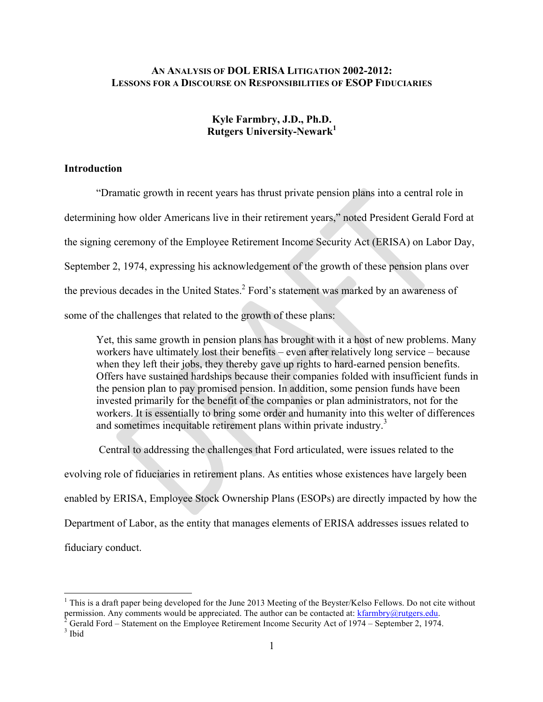# **AN ANALYSIS OF DOL ERISA LITIGATION 2002-2012: LESSONS FOR A DISCOURSE ON RESPONSIBILITIES OF ESOP FIDUCIARIES**

# **Kyle Farmbry, J.D., Ph.D. Rutgers University-Newark<sup>1</sup>**

# **Introduction**

"Dramatic growth in recent years has thrust private pension plans into a central role in determining how older Americans live in their retirement years," noted President Gerald Ford at the signing ceremony of the Employee Retirement Income Security Act (ERISA) on Labor Day, September 2, 1974, expressing his acknowledgement of the growth of these pension plans over the previous decades in the United States.<sup>2</sup> Ford's statement was marked by an awareness of some of the challenges that related to the growth of these plans:

Yet, this same growth in pension plans has brought with it a host of new problems. Many workers have ultimately lost their benefits – even after relatively long service – because when they left their jobs, they thereby gave up rights to hard-earned pension benefits. Offers have sustained hardships because their companies folded with insufficient funds in the pension plan to pay promised pension. In addition, some pension funds have been invested primarily for the benefit of the companies or plan administrators, not for the workers. It is essentially to bring some order and humanity into this welter of differences and sometimes inequitable retirement plans within private industry.<sup>3</sup>

Central to addressing the challenges that Ford articulated, were issues related to the

evolving role of fiduciaries in retirement plans. As entities whose existences have largely been

enabled by ERISA, Employee Stock Ownership Plans (ESOPs) are directly impacted by how the

Department of Labor, as the entity that manages elements of ERISA addresses issues related to

fiduciary conduct.

<sup>&</sup>lt;sup>1</sup> This is a draft paper being developed for the June 2013 Meeting of the Beyster/Kelso Fellows. Do not cite without permission. Any comments would be appreciated. The author can be contacted at: kfarmbry@rutgers.edu.<br>
<sup>2</sup> Gerald Ford – Statement on the Employee Retirement Income Security Act of 1974 – September 2, 1974.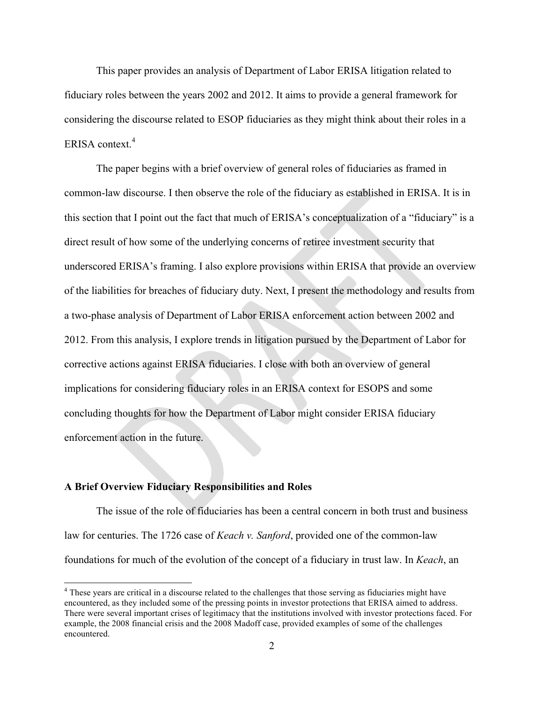This paper provides an analysis of Department of Labor ERISA litigation related to fiduciary roles between the years 2002 and 2012. It aims to provide a general framework for considering the discourse related to ESOP fiduciaries as they might think about their roles in a ERISA context.<sup>4</sup>

The paper begins with a brief overview of general roles of fiduciaries as framed in common-law discourse. I then observe the role of the fiduciary as established in ERISA. It is in this section that I point out the fact that much of ERISA's conceptualization of a "fiduciary" is a direct result of how some of the underlying concerns of retiree investment security that underscored ERISA's framing. I also explore provisions within ERISA that provide an overview of the liabilities for breaches of fiduciary duty. Next, I present the methodology and results from a two-phase analysis of Department of Labor ERISA enforcement action between 2002 and 2012. From this analysis, I explore trends in litigation pursued by the Department of Labor for corrective actions against ERISA fiduciaries. I close with both an overview of general implications for considering fiduciary roles in an ERISA context for ESOPS and some concluding thoughts for how the Department of Labor might consider ERISA fiduciary enforcement action in the future.

## **A Brief Overview Fiduciary Responsibilities and Roles**

The issue of the role of fiduciaries has been a central concern in both trust and business law for centuries. The 1726 case of *Keach v. Sanford*, provided one of the common-law foundations for much of the evolution of the concept of a fiduciary in trust law. In *Keach*, an

<sup>&</sup>lt;sup>4</sup> These years are critical in a discourse related to the challenges that those serving as fiduciaries might have encountered, as they included some of the pressing points in investor protections that ERISA aimed to address. There were several important crises of legitimacy that the institutions involved with investor protections faced. For example, the 2008 financial crisis and the 2008 Madoff case, provided examples of some of the challenges encountered.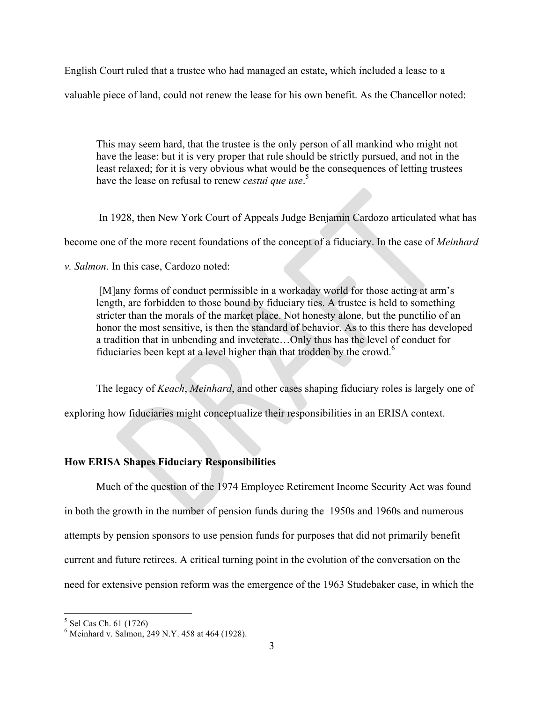English Court ruled that a trustee who had managed an estate, which included a lease to a

valuable piece of land, could not renew the lease for his own benefit. As the Chancellor noted:

This may seem hard, that the trustee is the only person of all mankind who might not have the lease: but it is very proper that rule should be strictly pursued, and not in the least relaxed; for it is very obvious what would be the consequences of letting trustees have the lease on refusal to renew *cestui que use*. 5

In 1928, then New York Court of Appeals Judge Benjamin Cardozo articulated what has

become one of the more recent foundations of the concept of a fiduciary. In the case of *Meinhard* 

*v. Salmon*. In this case, Cardozo noted:

[M]any forms of conduct permissible in a workaday world for those acting at arm's length, are forbidden to those bound by fiduciary ties. A trustee is held to something stricter than the morals of the market place. Not honesty alone, but the punctilio of an honor the most sensitive, is then the standard of behavior. As to this there has developed a tradition that in unbending and inveterate…Only thus has the level of conduct for fiduciaries been kept at a level higher than that trodden by the crowd.<sup>6</sup>

The legacy of *Keach*, *Meinhard*, and other cases shaping fiduciary roles is largely one of

exploring how fiduciaries might conceptualize their responsibilities in an ERISA context.

# **How ERISA Shapes Fiduciary Responsibilities**

Much of the question of the 1974 Employee Retirement Income Security Act was found in both the growth in the number of pension funds during the 1950s and 1960s and numerous attempts by pension sponsors to use pension funds for purposes that did not primarily benefit current and future retirees. A critical turning point in the evolution of the conversation on the need for extensive pension reform was the emergence of the 1963 Studebaker case, in which the

<sup>&</sup>lt;sup>5</sup> Sel Cas Ch. 61 (1726)<br><sup>6</sup> Meinhard v. Salmon, 249 N.Y. 458 at 464 (1928).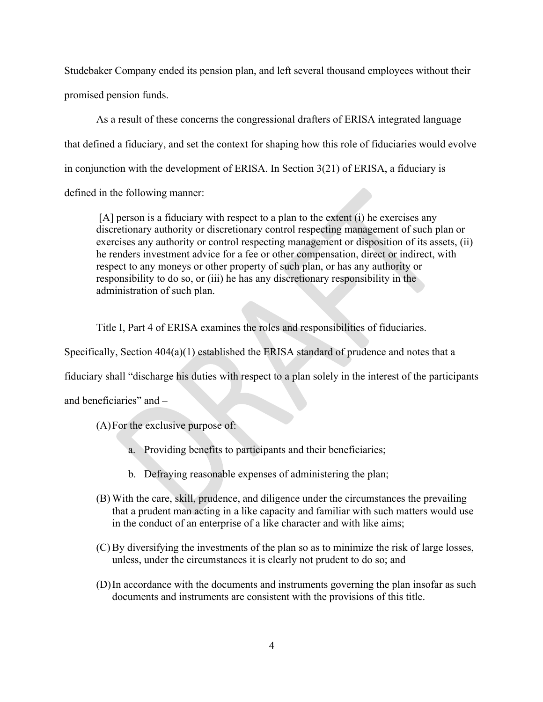Studebaker Company ended its pension plan, and left several thousand employees without their promised pension funds.

As a result of these concerns the congressional drafters of ERISA integrated language that defined a fiduciary, and set the context for shaping how this role of fiduciaries would evolve in conjunction with the development of ERISA. In Section 3(21) of ERISA, a fiduciary is defined in the following manner:

[A] person is a fiduciary with respect to a plan to the extent (i) he exercises any discretionary authority or discretionary control respecting management of such plan or exercises any authority or control respecting management or disposition of its assets, (ii) he renders investment advice for a fee or other compensation, direct or indirect, with respect to any moneys or other property of such plan, or has any authority or responsibility to do so, or (iii) he has any discretionary responsibility in the administration of such plan.

Title I, Part 4 of ERISA examines the roles and responsibilities of fiduciaries.

Specifically, Section 404(a)(1) established the ERISA standard of prudence and notes that a

fiduciary shall "discharge his duties with respect to a plan solely in the interest of the participants

and beneficiaries" and –

(A)For the exclusive purpose of:

- a. Providing benefits to participants and their beneficiaries;
- b. Defraying reasonable expenses of administering the plan;
- (B) With the care, skill, prudence, and diligence under the circumstances the prevailing that a prudent man acting in a like capacity and familiar with such matters would use in the conduct of an enterprise of a like character and with like aims;
- (C) By diversifying the investments of the plan so as to minimize the risk of large losses, unless, under the circumstances it is clearly not prudent to do so; and
- (D)In accordance with the documents and instruments governing the plan insofar as such documents and instruments are consistent with the provisions of this title.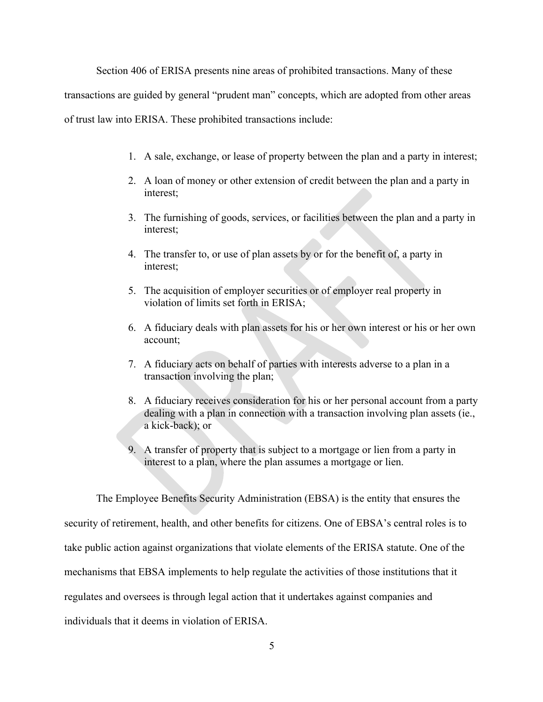Section 406 of ERISA presents nine areas of prohibited transactions. Many of these

transactions are guided by general "prudent man" concepts, which are adopted from other areas

of trust law into ERISA. These prohibited transactions include:

- 1. A sale, exchange, or lease of property between the plan and a party in interest;
- 2. A loan of money or other extension of credit between the plan and a party in interest;
- 3. The furnishing of goods, services, or facilities between the plan and a party in interest;
- 4. The transfer to, or use of plan assets by or for the benefit of, a party in interest;
- 5. The acquisition of employer securities or of employer real property in violation of limits set forth in ERISA;
- 6. A fiduciary deals with plan assets for his or her own interest or his or her own account;
- 7. A fiduciary acts on behalf of parties with interests adverse to a plan in a transaction involving the plan;
- 8. A fiduciary receives consideration for his or her personal account from a party dealing with a plan in connection with a transaction involving plan assets (ie., a kick-back); or
- 9. A transfer of property that is subject to a mortgage or lien from a party in interest to a plan, where the plan assumes a mortgage or lien.

The Employee Benefits Security Administration (EBSA) is the entity that ensures the security of retirement, health, and other benefits for citizens. One of EBSA's central roles is to take public action against organizations that violate elements of the ERISA statute. One of the mechanisms that EBSA implements to help regulate the activities of those institutions that it regulates and oversees is through legal action that it undertakes against companies and individuals that it deems in violation of ERISA.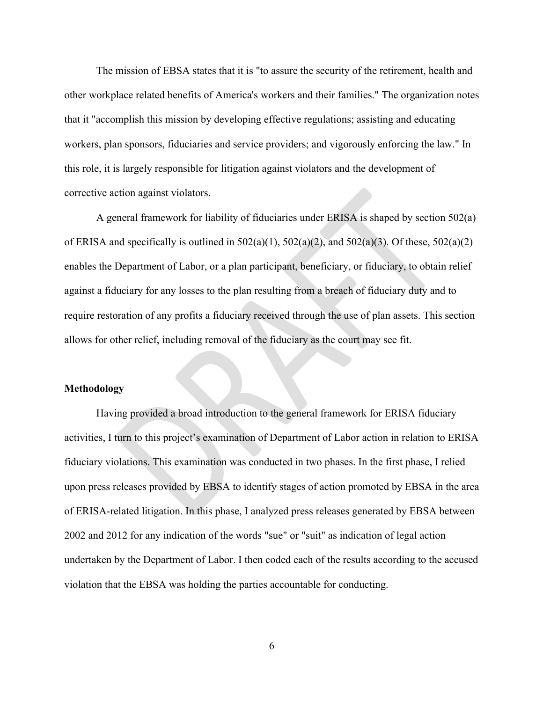The mission of EBSA states that it is "to assure the security of the retirement, health and other workplace related benefits of America's workers and their families." The organization notes that it "accomplish this mission by developing effective regulations; assisting and educating workers, plan sponsors, fiduciaries and service providers; and vigorously enforcing the law." In this role, it is largely responsible for litigation against violators and the development of corrective action against violators.

A general framework for liability of fiduciaries under ERISA is shaped by section 502(a) of ERISA and specifically is outlined in  $502(a)(1)$ ,  $502(a)(2)$ , and  $502(a)(3)$ . Of these,  $502(a)(2)$ enables the Department of Labor, or a plan participant, beneficiary, or fiduciary, to obtain relief against a fiduciary for any losses to the plan resulting from a breach of fiduciary duty and to require restoration of any profits a fiduciary received through the use of plan assets. This section allows for other relief, including removal of the fiduciary as the court may see fit.

#### **Methodology**

Having provided a broad introduction to the general framework for ERISA fiduciary activities, I turn to this project's examination of Department of Labor action in relation to ERISA fiduciary violations. This examination was conducted in two phases. In the first phase, I relied upon press releases provided by EBSA to identify stages of action promoted by EBSA in the area of ERISA-related litigation. In this phase, I analyzed press releases generated by EBSA between 2002 and 2012 for any indication of the words "sue" or "suit" as indication of legal action undertaken by the Department of Labor. I then coded each of the results according to the accused violation that the EBSA was holding the parties accountable for conducting.

6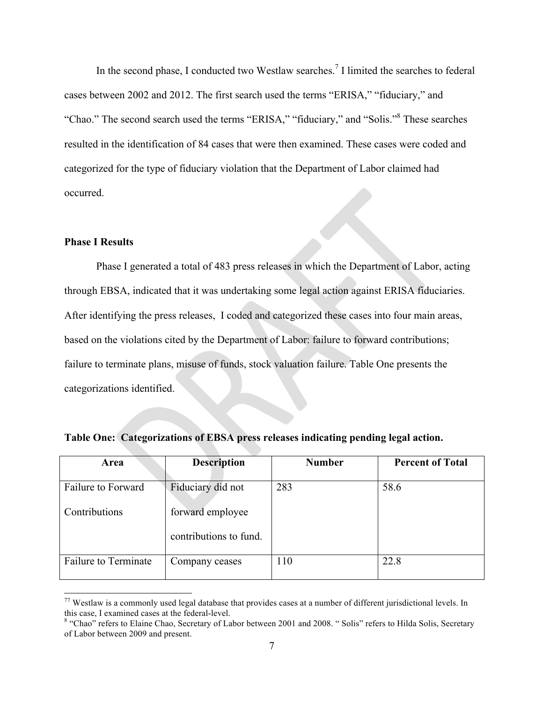In the second phase, I conducted two Westlaw searches.<sup>7</sup> I limited the searches to federal cases between 2002 and 2012. The first search used the terms "ERISA," "fiduciary," and "Chao." The second search used the terms "ERISA," "fiduciary," and "Solis."8 These searches resulted in the identification of 84 cases that were then examined. These cases were coded and categorized for the type of fiduciary violation that the Department of Labor claimed had occurred.

#### **Phase I Results**

Phase I generated a total of 483 press releases in which the Department of Labor, acting through EBSA, indicated that it was undertaking some legal action against ERISA fiduciaries. After identifying the press releases, I coded and categorized these cases into four main areas, based on the violations cited by the Department of Labor: failure to forward contributions; failure to terminate plans, misuse of funds, stock valuation failure. Table One presents the categorizations identified.

| Area                        | <b>Description</b>     | <b>Number</b> | <b>Percent of Total</b> |  |
|-----------------------------|------------------------|---------------|-------------------------|--|
| Failure to Forward          | Fiduciary did not      | 283           | 58.6                    |  |
| Contributions               | forward employee       |               |                         |  |
|                             | contributions to fund. |               |                         |  |
| <b>Failure to Terminate</b> | Company ceases         | 110           | 22.8                    |  |

| Table One: Categorizations of EBSA press releases indicating pending legal action. |  |  |  |
|------------------------------------------------------------------------------------|--|--|--|
|                                                                                    |  |  |  |

 $77$  Westlaw is a commonly used legal database that provides cases at a number of different jurisdictional levels. In this case, I examined cases at the federal-level.

<sup>&</sup>lt;sup>8</sup> "Chao" refers to Elaine Chao, Secretary of Labor between 2001 and 2008. " Solis" refers to Hilda Solis, Secretary of Labor between 2009 and present.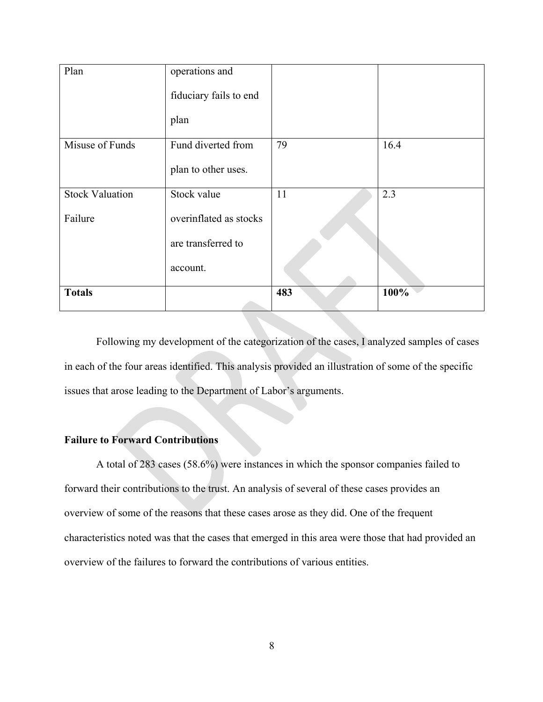| Plan                   | operations and<br>fiduciary fails to end |     |      |
|------------------------|------------------------------------------|-----|------|
|                        | plan                                     |     |      |
| Misuse of Funds        | Fund diverted from                       | 79  | 16.4 |
|                        | plan to other uses.                      |     |      |
| <b>Stock Valuation</b> | Stock value                              | 11  | 2.3  |
| Failure                | overinflated as stocks                   |     |      |
|                        | are transferred to                       |     |      |
|                        | account.                                 |     |      |
| <b>Totals</b>          |                                          | 483 | 100% |

Following my development of the categorization of the cases, I analyzed samples of cases in each of the four areas identified. This analysis provided an illustration of some of the specific issues that arose leading to the Department of Labor's arguments.

# **Failure to Forward Contributions**

A total of 283 cases (58.6%) were instances in which the sponsor companies failed to forward their contributions to the trust. An analysis of several of these cases provides an overview of some of the reasons that these cases arose as they did. One of the frequent characteristics noted was that the cases that emerged in this area were those that had provided an overview of the failures to forward the contributions of various entities.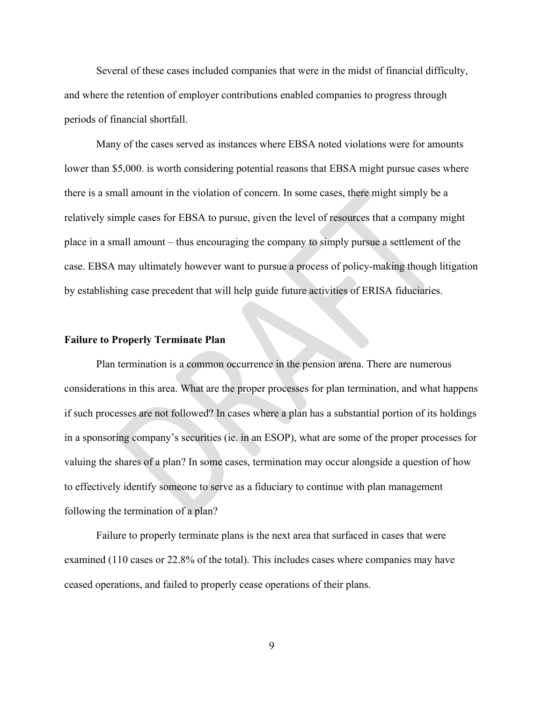Several of these cases included companies that were in the midst of financial difficulty, and where the retention of employer contributions enabled companies to progress through periods of financial shortfall.

Many of the cases served as instances where EBSA noted violations were for amounts lower than \$5,000. is worth considering potential reasons that EBSA might pursue cases where there is a small amount in the violation of concern. In some cases, there might simply be a relatively simple cases for EBSA to pursue, given the level of resources that a company might place in a small amount – thus encouraging the company to simply pursue a settlement of the case. EBSA may ultimately however want to pursue a process of policy-making though litigation by establishing case precedent that will help guide future activities of ERISA fiduciaries.

#### **Failure to Properly Terminate Plan**

Plan termination is a common occurrence in the pension arena. There are numerous considerations in this area. What are the proper processes for plan termination, and what happens if such processes are not followed? In cases where a plan has a substantial portion of its holdings in a sponsoring company's securities (ie. in an ESOP), what are some of the proper processes for valuing the shares of a plan? In some cases, termination may occur alongside a question of how to effectively identify someone to serve as a fiduciary to continue with plan management following the termination of a plan?

Failure to properly terminate plans is the next area that surfaced in cases that were examined (110 cases or 22.8% of the total). This includes cases where companies may have ceased operations, and failed to properly cease operations of their plans.

9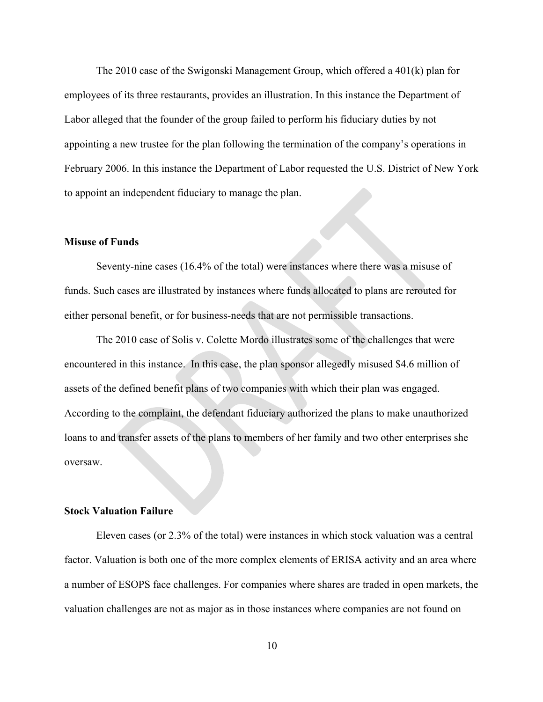The 2010 case of the Swigonski Management Group, which offered a 401(k) plan for employees of its three restaurants, provides an illustration. In this instance the Department of Labor alleged that the founder of the group failed to perform his fiduciary duties by not appointing a new trustee for the plan following the termination of the company's operations in February 2006. In this instance the Department of Labor requested the U.S. District of New York to appoint an independent fiduciary to manage the plan.

## **Misuse of Funds**

Seventy-nine cases (16.4% of the total) were instances where there was a misuse of funds. Such cases are illustrated by instances where funds allocated to plans are rerouted for either personal benefit, or for business-needs that are not permissible transactions.

The 2010 case of Solis v. Colette Mordo illustrates some of the challenges that were encountered in this instance. In this case, the plan sponsor allegedly misused \$4.6 million of assets of the defined benefit plans of two companies with which their plan was engaged. According to the complaint, the defendant fiduciary authorized the plans to make unauthorized loans to and transfer assets of the plans to members of her family and two other enterprises she oversaw.

#### **Stock Valuation Failure**

Eleven cases (or 2.3% of the total) were instances in which stock valuation was a central factor. Valuation is both one of the more complex elements of ERISA activity and an area where a number of ESOPS face challenges. For companies where shares are traded in open markets, the valuation challenges are not as major as in those instances where companies are not found on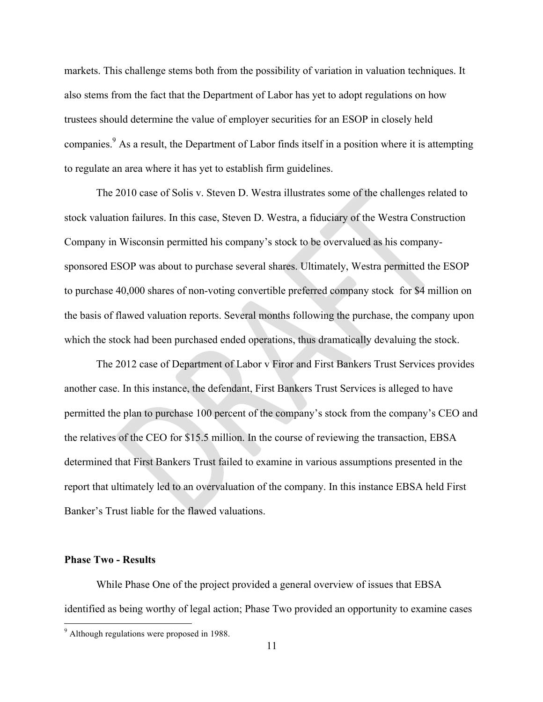markets. This challenge stems both from the possibility of variation in valuation techniques. It also stems from the fact that the Department of Labor has yet to adopt regulations on how trustees should determine the value of employer securities for an ESOP in closely held companies.<sup>9</sup> As a result, the Department of Labor finds itself in a position where it is attempting to regulate an area where it has yet to establish firm guidelines.

The 2010 case of Solis v. Steven D. Westra illustrates some of the challenges related to stock valuation failures. In this case, Steven D. Westra, a fiduciary of the Westra Construction Company in Wisconsin permitted his company's stock to be overvalued as his companysponsored ESOP was about to purchase several shares. Ultimately, Westra permitted the ESOP to purchase 40,000 shares of non-voting convertible preferred company stock for \$4 million on the basis of flawed valuation reports. Several months following the purchase, the company upon which the stock had been purchased ended operations, thus dramatically devaluing the stock.

The 2012 case of Department of Labor v Firor and First Bankers Trust Services provides another case. In this instance, the defendant, First Bankers Trust Services is alleged to have permitted the plan to purchase 100 percent of the company's stock from the company's CEO and the relatives of the CEO for \$15.5 million. In the course of reviewing the transaction, EBSA determined that First Bankers Trust failed to examine in various assumptions presented in the report that ultimately led to an overvaluation of the company. In this instance EBSA held First Banker's Trust liable for the flawed valuations.

## **Phase Two - Results**

While Phase One of the project provided a general overview of issues that EBSA identified as being worthy of legal action; Phase Two provided an opportunity to examine cases

 <sup>9</sup> Although regulations were proposed in 1988.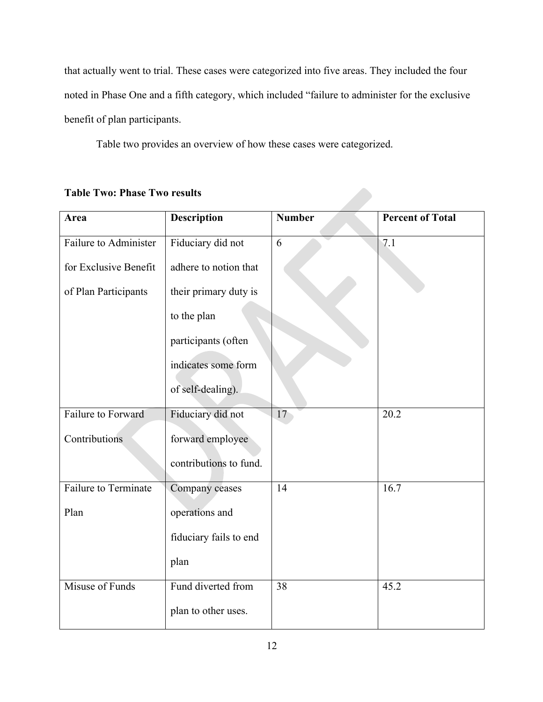that actually went to trial. These cases were categorized into five areas. They included the four noted in Phase One and a fifth category, which included "failure to administer for the exclusive benefit of plan participants.

Table two provides an overview of how these cases were categorized.

| Area                         | <b>Description</b>     | <b>Number</b> | <b>Percent of Total</b> |
|------------------------------|------------------------|---------------|-------------------------|
| <b>Failure to Administer</b> | Fiduciary did not      | 6             | 7.1                     |
| for Exclusive Benefit        | adhere to notion that  |               |                         |
| of Plan Participants         | their primary duty is  |               |                         |
|                              | to the plan            |               |                         |
|                              | participants (often    |               |                         |
|                              | indicates some form    |               |                         |
|                              | of self-dealing).      |               |                         |
| Failure to Forward           | Fiduciary did not      | 17            | 20.2                    |
| Contributions                | forward employee       |               |                         |
|                              | contributions to fund. |               |                         |
| <b>Failure to Terminate</b>  | Company ceases         | 14            | 16.7                    |
| Plan                         | operations and         |               |                         |
|                              | fiduciary fails to end |               |                         |
|                              | plan                   |               |                         |
| Misuse of Funds              | Fund diverted from     | 38            | 45.2                    |
|                              | plan to other uses.    |               |                         |

**Table Two: Phase Two results**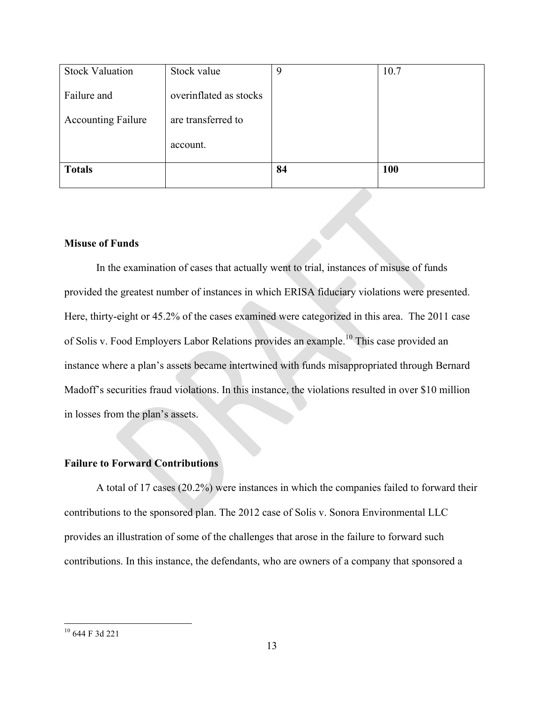| <b>Stock Valuation</b>    | Stock value            | 9  | 10.7       |
|---------------------------|------------------------|----|------------|
| Failure and               | overinflated as stocks |    |            |
| <b>Accounting Failure</b> | are transferred to     |    |            |
|                           | account.               |    |            |
| <b>Totals</b>             |                        | 84 | <b>100</b> |

## **Misuse of Funds**

In the examination of cases that actually went to trial, instances of misuse of funds provided the greatest number of instances in which ERISA fiduciary violations were presented. Here, thirty-eight or 45.2% of the cases examined were categorized in this area. The 2011 case of Solis v. Food Employers Labor Relations provides an example.<sup>10</sup> This case provided an instance where a plan's assets became intertwined with funds misappropriated through Bernard Madoff's securities fraud violations. In this instance, the violations resulted in over \$10 million in losses from the plan's assets.

# **Failure to Forward Contributions**

A total of 17 cases (20.2%) were instances in which the companies failed to forward their contributions to the sponsored plan. The 2012 case of Solis v. Sonora Environmental LLC provides an illustration of some of the challenges that arose in the failure to forward such contributions. In this instance, the defendants, who are owners of a company that sponsored a

 <sup>10</sup> 644 F 3d 221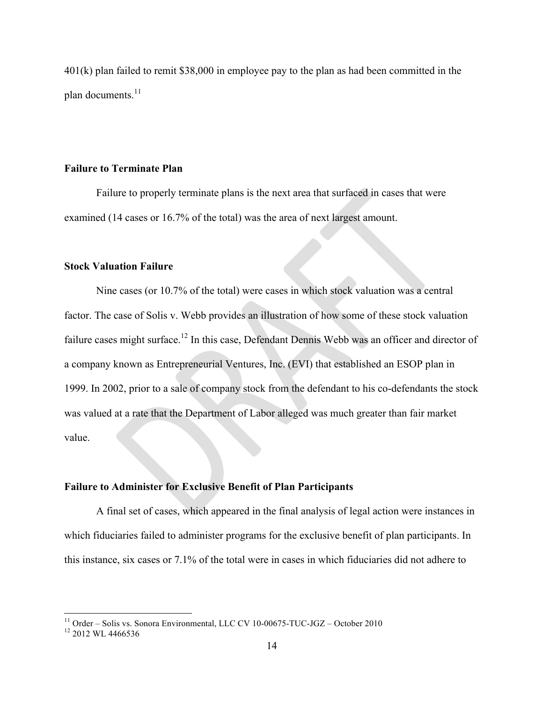401(k) plan failed to remit \$38,000 in employee pay to the plan as had been committed in the plan documents. $11$ 

#### **Failure to Terminate Plan**

Failure to properly terminate plans is the next area that surfaced in cases that were examined (14 cases or 16.7% of the total) was the area of next largest amount.

## **Stock Valuation Failure**

Nine cases (or 10.7% of the total) were cases in which stock valuation was a central factor. The case of Solis v. Webb provides an illustration of how some of these stock valuation failure cases might surface.<sup>12</sup> In this case, Defendant Dennis Webb was an officer and director of a company known as Entrepreneurial Ventures, Inc. (EVI) that established an ESOP plan in 1999. In 2002, prior to a sale of company stock from the defendant to his co-defendants the stock was valued at a rate that the Department of Labor alleged was much greater than fair market value.

# **Failure to Administer for Exclusive Benefit of Plan Participants**

A final set of cases, which appeared in the final analysis of legal action were instances in which fiduciaries failed to administer programs for the exclusive benefit of plan participants. In this instance, six cases or 7.1% of the total were in cases in which fiduciaries did not adhere to

<sup>&</sup>lt;sup>11</sup> Order – Solis vs. Sonora Environmental, LLC CV 10-00675-TUC-JGZ – October 2010<sup>12</sup> 2012 WL 4466536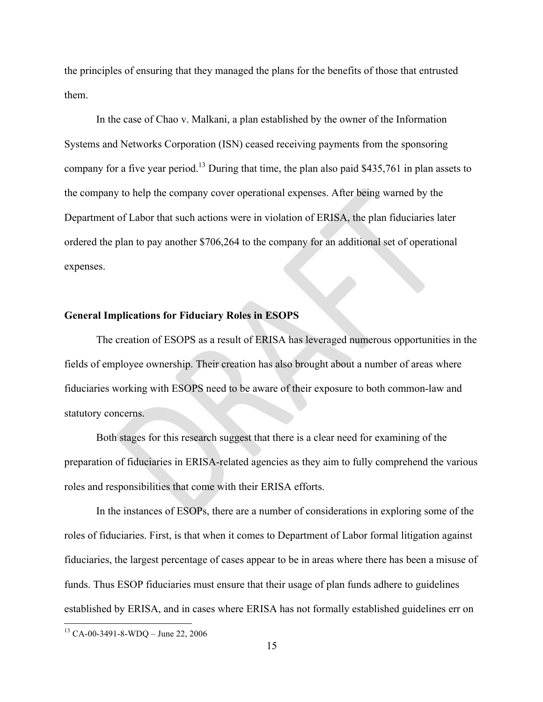the principles of ensuring that they managed the plans for the benefits of those that entrusted them.

In the case of Chao v. Malkani, a plan established by the owner of the Information Systems and Networks Corporation (ISN) ceased receiving payments from the sponsoring company for a five year period.13 During that time, the plan also paid \$435,761 in plan assets to the company to help the company cover operational expenses. After being warned by the Department of Labor that such actions were in violation of ERISA, the plan fiduciaries later ordered the plan to pay another \$706,264 to the company for an additional set of operational expenses.

## **General Implications for Fiduciary Roles in ESOPS**

The creation of ESOPS as a result of ERISA has leveraged numerous opportunities in the fields of employee ownership. Their creation has also brought about a number of areas where fiduciaries working with ESOPS need to be aware of their exposure to both common-law and statutory concerns.

Both stages for this research suggest that there is a clear need for examining of the preparation of fiduciaries in ERISA-related agencies as they aim to fully comprehend the various roles and responsibilities that come with their ERISA efforts.

In the instances of ESOPs, there are a number of considerations in exploring some of the roles of fiduciaries. First, is that when it comes to Department of Labor formal litigation against fiduciaries, the largest percentage of cases appear to be in areas where there has been a misuse of funds. Thus ESOP fiduciaries must ensure that their usage of plan funds adhere to guidelines established by ERISA, and in cases where ERISA has not formally established guidelines err on

 <sup>13</sup> CA-00-3491-8-WDQ – June 22, 2006